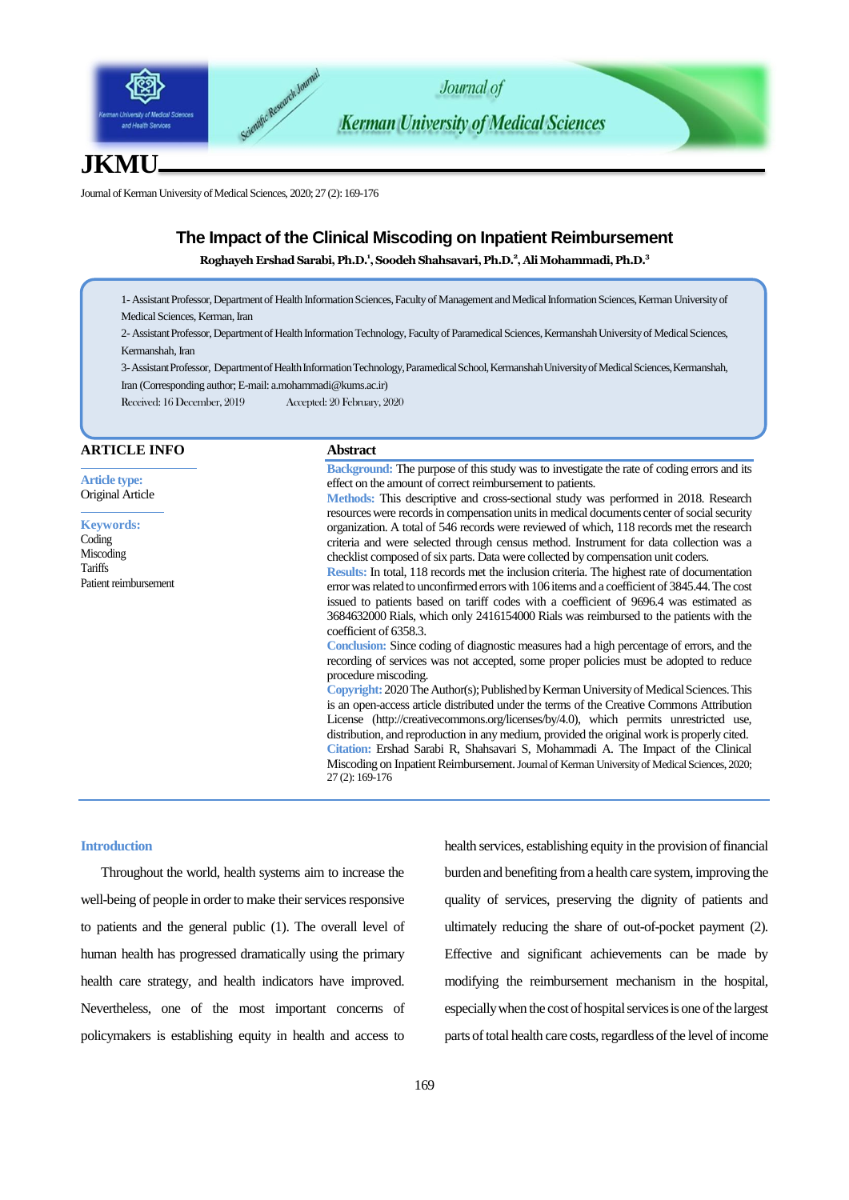

# **JKMU**

Journal of Kerman University of Medical Sciences, 2020; 27 (2): 169-176

## **The Impact of the Clinical Miscoding on Inpatient Reimbursement**

**Roghayeh ErshadSarabi, Ph.D.<sup>1</sup> , Soodeh Shahsavari, Ph.D.<sup>2</sup> ,Ali Mohammadi, Ph.D.<sup>3</sup>**

1- Assistant Professor, Department of Health Information Sciences, Faculty of Management and Medical Information Sciences, Kerman University of Medical Sciences, Kerman, Iran

2- Assistant Professor, Department of Health Information Technology, Faculty of Paramedical Sciences, Kermanshah University of Medical Sciences, Kermanshah, Iran

3-Assistant Professor, Department of Health Information Technology, Paramedical School, Kermanshah University of Medical Sciences, Kermanshah, Iran (Corresponding author; E-mail: [a.mohammadi@kums.ac.ir](mailto:a.mohammadi@kums.ac.ir))

Received: 16 December, 2019 Accepted: 20 February, 2020

#### **ARTICLE INFO**

**Article type:** Original Article

**Keywords:** Coding Miscoding **Tariffs** Patient reimbursement

#### **Abstract**

**Background:** The purpose of this study was to investigate the rate of coding errors and its effect on the amount of correct reimbursement to patients. **Methods:** This descriptive and cross-sectional study was performed in 2018. Research resources were records in compensation units in medical documents center of social security organization. A total of 546 records were reviewed of which, 118 records met the research

criteria and were selected through census method. Instrument for data collection was a checklist composed of six parts. Data were collected by compensation unit coders. **Results:** In total, 118 records met the inclusion criteria. The highest rate of documentation

error was related to unconfirmed errors with 106 items and a coefficient of 3845.44. The cost issued to patients based on tariff codes with a coefficient of 9696.4 was estimated as 3684632000 Rials, which only 2416154000 Rials was reimbursed to the patients with the coefficient of 6358.3.

**Conclusion:** Since coding of diagnostic measures had a high percentage of errors, and the recording of services was not accepted, some proper policies must be adopted to reduce procedure miscoding.

**Copyright:** 2020The Author(s); Published by Kerman University of Medical Sciences. This is an open-access article distributed under the terms of the Creative Commons Attribution License (http://creativecommons.org/licenses/by/4.0), which permits unrestricted use, distribution, and reproduction in any medium, provided the original work is properly cited. **Citation:** Ershad Sarabi R, Shahsavari S, Mohammadi A. The Impact of the Clinical Miscoding on Inpatient Reimbursement. Journal of Kerman University of MedicalSciences, 2020; 27 (2): 169-176

#### **Introduction**

Throughout the world, health systems aim to increase the well-being of people in order to make their services responsive to patients and the general public [\(1\)](#page-7-0). The overall level of human health has progressed dramatically using the primary health care strategy, and health indicators have improved. Nevertheless, one of the most important concerns of policymakers is establishing equity in health and access to health services, establishing equity in the provision of financial burden and benefiting from a health care system, improving the quality of services, preserving the dignity of patients and ultimately reducing the share of out-of-pocket payment [\(2\)](#page-7-1). Effective and significant achievements can be made by modifying the reimbursement mechanism in the hospital, especially when the cost of hospital services is one of the largest parts of total health care costs, regardless of the level of income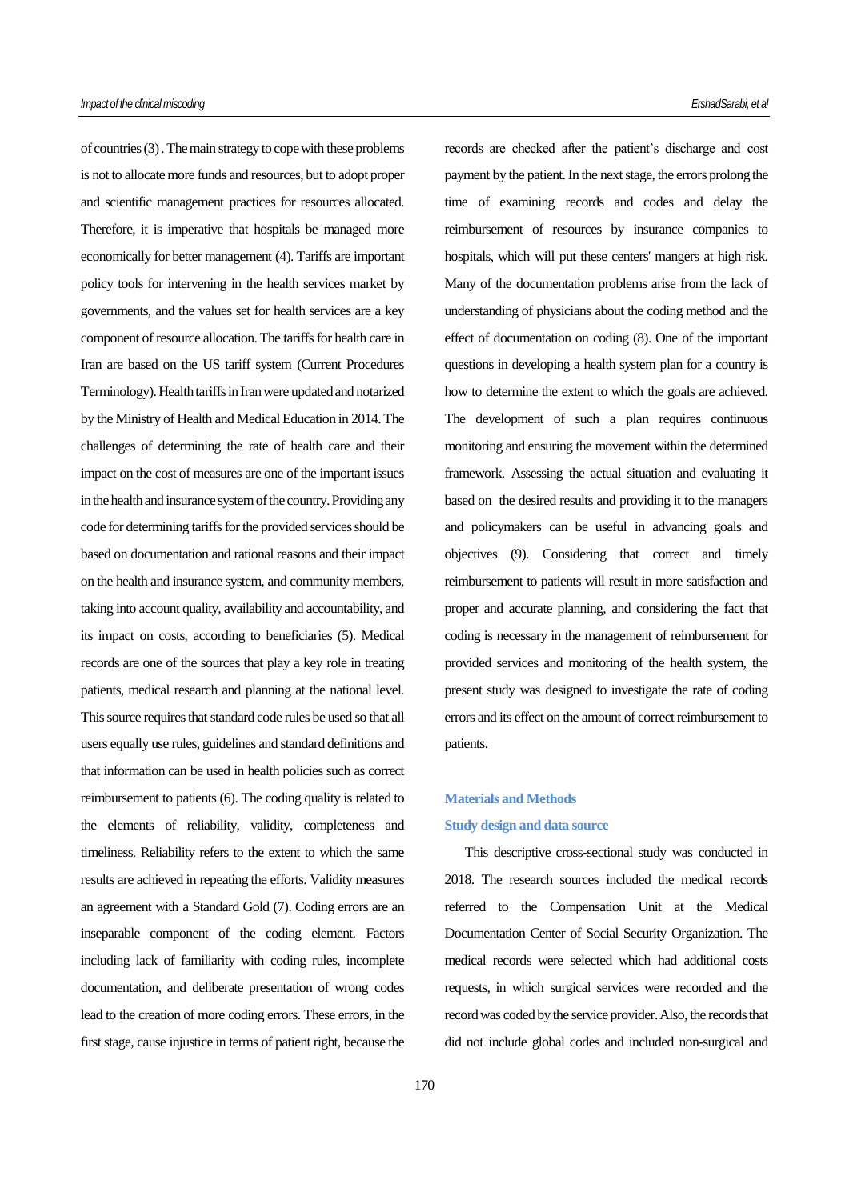of countries [\(3\)](#page-7-2). The main strategy to cope with these problems is not to allocate more funds and resources, but to adopt proper and scientific management practices for resources allocated. Therefore, it is imperative that hospitals be managed more economically for better management [\(4\)](#page-7-3). Tariffs are important policy tools for intervening in the health services market by governments, and the values set for health services are a key component of resource allocation. The tariffs for health care in Iran are based on the US tariff system (Current Procedures Terminology). Health tariffs in Iran were updated and notarized by the Ministry of Health and Medical Education in 2014. The challenges of determining the rate of health care and their impact on the cost of measures are one of the important issues in the health and insurance system of the country. Providing any code for determining tariffs for the provided services should be based on documentation and rational reasons and their impact on the health and insurance system, and community members, taking into account quality, availability and accountability, and its impact on costs, according to beneficiaries [\(5\)](#page-7-4). Medical records are one of the sources that play a key role in treating patients, medical research and planning at the national level. This source requires that standard code rules be used so that all users equally use rules, guidelines and standard definitions and that information can be used in health policies such as correct reimbursement to patients [\(6\)](#page-7-5). The coding quality is related to the elements of reliability, validity, completeness and timeliness. Reliability refers to the extent to which the same results are achieved in repeating the efforts. Validity measures an agreement with a Standard Gold [\(7\)](#page-7-6). Coding errors are an inseparable component of the coding element. Factors including lack of familiarity with coding rules, incomplete documentation, and deliberate presentation of wrong codes lead to the creation of more coding errors. These errors, in the first stage, cause injustice in terms of patient right, because the

records are checked after the patient's discharge and cost payment by the patient. In the next stage, the errors prolong the time of examining records and codes and delay the reimbursement of resources by insurance companies to hospitals, which will put these centers' mangers at high risk. Many of the documentation problems arise from the lack of understanding of physicians about the coding method and the effect of documentation on coding [\(8\)](#page-7-7). One of the important questions in developing a health system plan for a country is how to determine the extent to which the goals are achieved. The development of such a plan requires continuous monitoring and ensuring the movement within the determined framework. Assessing the actual situation and evaluating it based on the desired results and providing it to the managers and policymakers can be useful in advancing goals and objectives [\(9\)](#page-7-8). Considering that correct and timely reimbursement to patients will result in more satisfaction and proper and accurate planning, and considering the fact that coding is necessary in the management of reimbursement for provided services and monitoring of the health system, the present study was designed to investigate the rate of coding errors and its effect on the amount of correct reimbursement to patients.

# **Materials and Methods**

## **Study design and data source**

This descriptive cross-sectional study was conducted in 2018. The research sources included the medical records referred to the Compensation Unit at the Medical Documentation Center of Social Security Organization. The medical records were selected which had additional costs requests, in which surgical services were recorded and the record was coded by the service provider. Also, the records that did not include global codes and included non-surgical and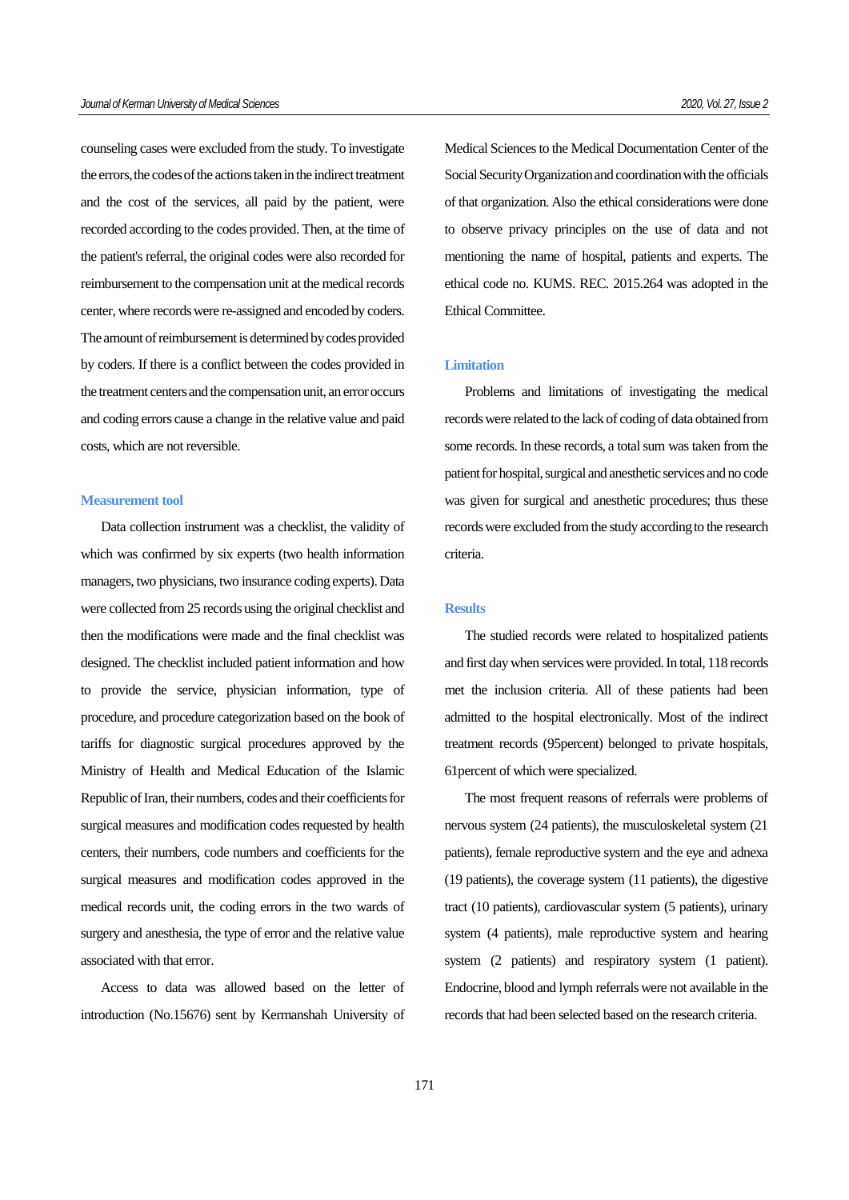counseling cases were excluded from the study. To investigate the errors, the codes of the actions taken in the indirect treatment and the cost of the services, all paid by the patient, were recorded according to the codes provided. Then, at the time of the patient's referral, the original codes were also recorded for reimbursement to the compensation unit at the medical records center, where records were re-assigned and encoded by coders. The amount of reimbursement is determined by codes provided by coders. If there is a conflict between the codes provided in the treatment centers and the compensation unit, an error occurs and coding errors cause a change in the relative value and paid costs, which are not reversible.

#### **Measurement tool**

Data collection instrument was a checklist, the validity of which was confirmed by six experts (two health information managers, two physicians, two insurance coding experts). Data were collected from 25 records using the original checklist and then the modifications were made and the final checklist was designed. The checklist included patient information and how to provide the service, physician information, type of procedure, and procedure categorization based on the book of tariffs for diagnostic surgical procedures approved by the Ministry of Health and Medical Education of the Islamic Republic of Iran, their numbers, codes and their coefficients for surgical measures and modification codes requested by health centers, their numbers, code numbers and coefficients for the surgical measures and modification codes approved in the medical records unit, the coding errors in the two wards of surgery and anesthesia, the type of error and the relative value associated with that error.

Access to data was allowed based on the letter of introduction (No.15676) sent by Kermanshah University of Medical Sciences to the Medical Documentation Center of the Social Security Organization and coordination with the officials of that organization. Also the ethical considerations were done to observe privacy principles on the use of data and not mentioning the name of hospital, patients and experts. The ethical code no. KUMS. REC. 2015.264 was adopted in the Ethical Committee.

### **Limitation**

Problems and limitations of investigating the medical records were related to the lack of coding of data obtained from some records. In these records, a total sum was taken from the patient for hospital, surgical and anesthetic services and no code was given for surgical and anesthetic procedures; thus these records were excluded from the study according to the research criteria.

#### **Results**

The studied records were related to hospitalized patients and first day when services were provided. In total, 118 records met the inclusion criteria. All of these patients had been admitted to the hospital electronically. Most of the indirect treatment records (95percent) belonged to private hospitals, 61percent of which were specialized.

The most frequent reasons of referrals were problems of nervous system (24 patients), the musculoskeletal system (21 patients), female reproductive system and the eye and adnexa (19 patients), the coverage system (11 patients), the digestive tract (10 patients), cardiovascular system (5 patients), urinary system (4 patients), male reproductive system and hearing system (2 patients) and respiratory system (1 patient). Endocrine, blood and lymph referrals were not available in the records that had been selected based on the research criteria.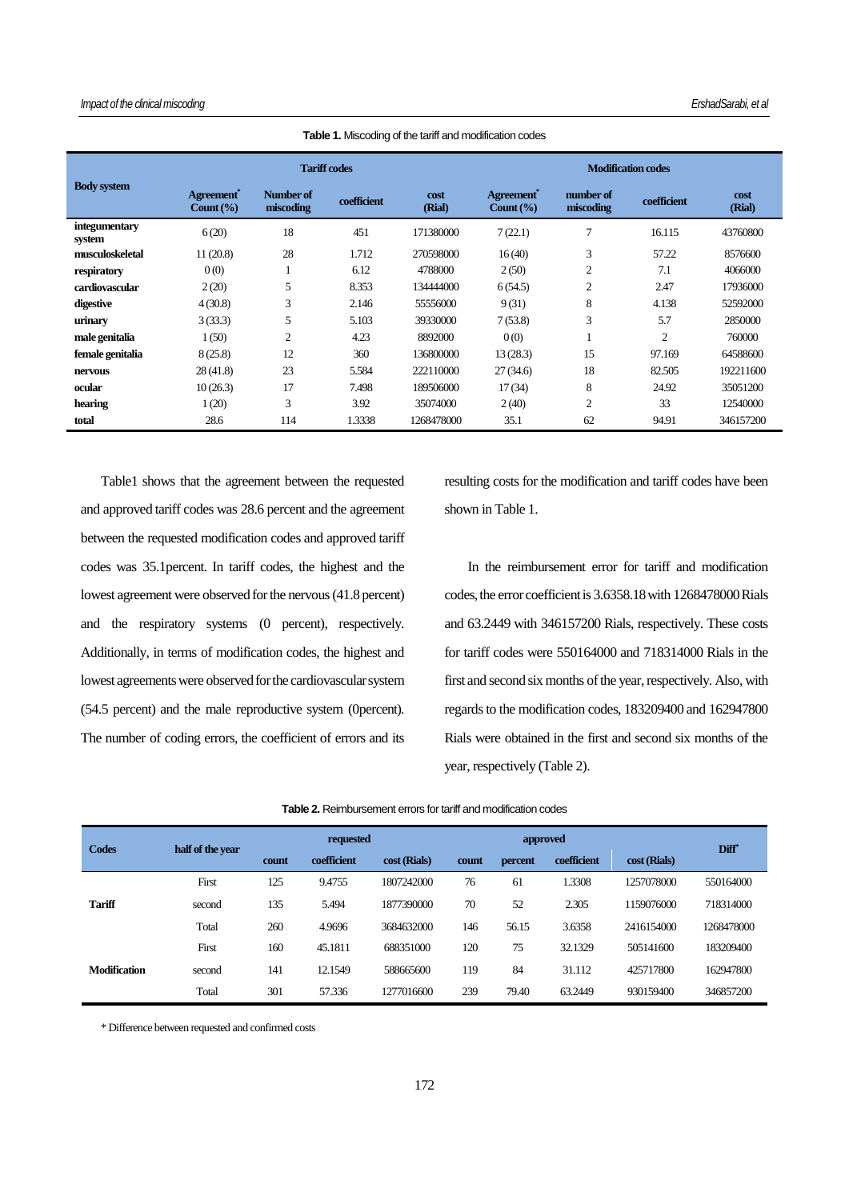| <b>Body system</b>      |                                                 |                        | <b>Tariff codes</b> |                | <b>Modification codes</b>                       |                        |                |                |  |  |
|-------------------------|-------------------------------------------------|------------------------|---------------------|----------------|-------------------------------------------------|------------------------|----------------|----------------|--|--|
|                         | Agreement <sup>*</sup><br>Count $(\frac{6}{6})$ | Number of<br>miscoding | coefficient         | cost<br>(Rial) | Agreement <sup>*</sup><br>Count $(\frac{6}{6})$ | number of<br>miscoding | coefficient    | cost<br>(Rial) |  |  |
| integumentary<br>system | 6(20)                                           | 18                     | 451                 | 171380000      | 7(22.1)                                         | $\overline{7}$         | 16.115         | 43760800       |  |  |
| musculoskeletal         | 11(20.8)                                        | 28                     | 1.712               | 270598000      | 16(40)                                          | 3                      | 57.22          | 8576600        |  |  |
| respiratory             | 0(0)                                            |                        | 6.12                | 4788000        | 2(50)                                           | $\overline{2}$         | 7.1            | 4066000        |  |  |
| cardiovascular          | 2(20)                                           | 5                      | 8.353               | 134444000      | 6(54.5)                                         | $\overline{2}$         | 2.47           | 17936000       |  |  |
| digestive               | 4(30.8)                                         | 3                      | 2.146               | 55556000       | 9(31)                                           | 8                      | 4.138          | 52592000       |  |  |
| urinary                 | 3(33.3)                                         | 5                      | 5.103               | 39330000       | 7(53.8)                                         | 3                      | 5.7            | 2850000        |  |  |
| male genitalia          | 1(50)                                           | 2                      | 4.23                | 8892000        | 0(0)                                            |                        | $\overline{c}$ | 760000         |  |  |
| female genitalia        | 8(25.8)                                         | 12                     | 360                 | 136800000      | 13(28.3)                                        | 15                     | 97.169         | 64588600       |  |  |
| nervous                 | 28(41.8)                                        | 23                     | 5.584               | 222110000      | 27(34.6)                                        | 18                     | 82.505         | 192211600      |  |  |
| ocular                  | 10(26.3)                                        | 17                     | 7.498               | 189506000      | 17(34)                                          | 8                      | 24.92          | 35051200       |  |  |
| hearing                 | 1(20)                                           | 3                      | 3.92                | 35074000       | 2(40)                                           | $\overline{2}$         | 33             | 12540000       |  |  |
| total                   | 28.6                                            | 114                    | 1.3338              | 1268478000     | 35.1                                            | 62                     | 94.91          | 346157200      |  |  |

**Table 1.** Miscoding of the tariff and modification codes

Table1 shows that the agreement between the requested and approved tariff codes was 28.6 percent and the agreement between the requested modification codes and approved tariff codes was 35.1percent. In tariff codes, the highest and the lowest agreement were observed for the nervous (41.8 percent) and the respiratory systems (0 percent), respectively. Additionally, in terms of modification codes, the highest and lowest agreements were observed for the cardiovascular system (54.5 percent) and the male reproductive system (0percent). The number of coding errors, the coefficient of errors and its

resulting costs for the modification and tariff codes have been shown in Table 1.

In the reimbursement error for tariff and modification codes, the error coefficient is 3.6358.18 with 1268478000 Rials and 63.2449 with 346157200 Rials, respectively. These costs for tariff codes were 550164000 and 718314000 Rials in the first and second six months of the year, respectively. Also, with regards to the modification codes, 183209400 and 162947800 Rials were obtained in the first and second six months of the year, respectively (Table 2).

| <b>Table 2.</b> Reimbursement errors for tariff and modification codes |
|------------------------------------------------------------------------|
|------------------------------------------------------------------------|

| Codes               | half of the year |       | requested   |              |       | approved |             |              |                   |  |
|---------------------|------------------|-------|-------------|--------------|-------|----------|-------------|--------------|-------------------|--|
|                     |                  | count | coefficient | cost (Rials) | count | percent  | coefficient | cost (Rials) | Diff <sup>*</sup> |  |
| <b>Tariff</b>       | First            | 125   | 9.4755      | 1807242000   | 76    | 61       | 1.3308      | 1257078000   | 550164000         |  |
|                     | second           | 135   | 5.494       | 1877390000   | 70    | 52       | 2.305       | 1159076000   | 718314000         |  |
|                     | Total            | 260   | 4.9696      | 3684632000   | 146   | 56.15    | 3.6358      | 2416154000   | 1268478000        |  |
| <b>Modification</b> | First            | 160   | 45.1811     | 688351000    | 120   | 75       | 32.1329     | 505141600    | 183209400         |  |
|                     | second           | 141   | 12.1549     | 588665600    | 119   | 84       | 31.112      | 425717800    | 162947800         |  |
|                     | Total            | 301   | 57.336      | 1277016600   | 239   | 79.40    | 63.2449     | 930159400    | 346857200         |  |

\* Difference between requested and confirmed costs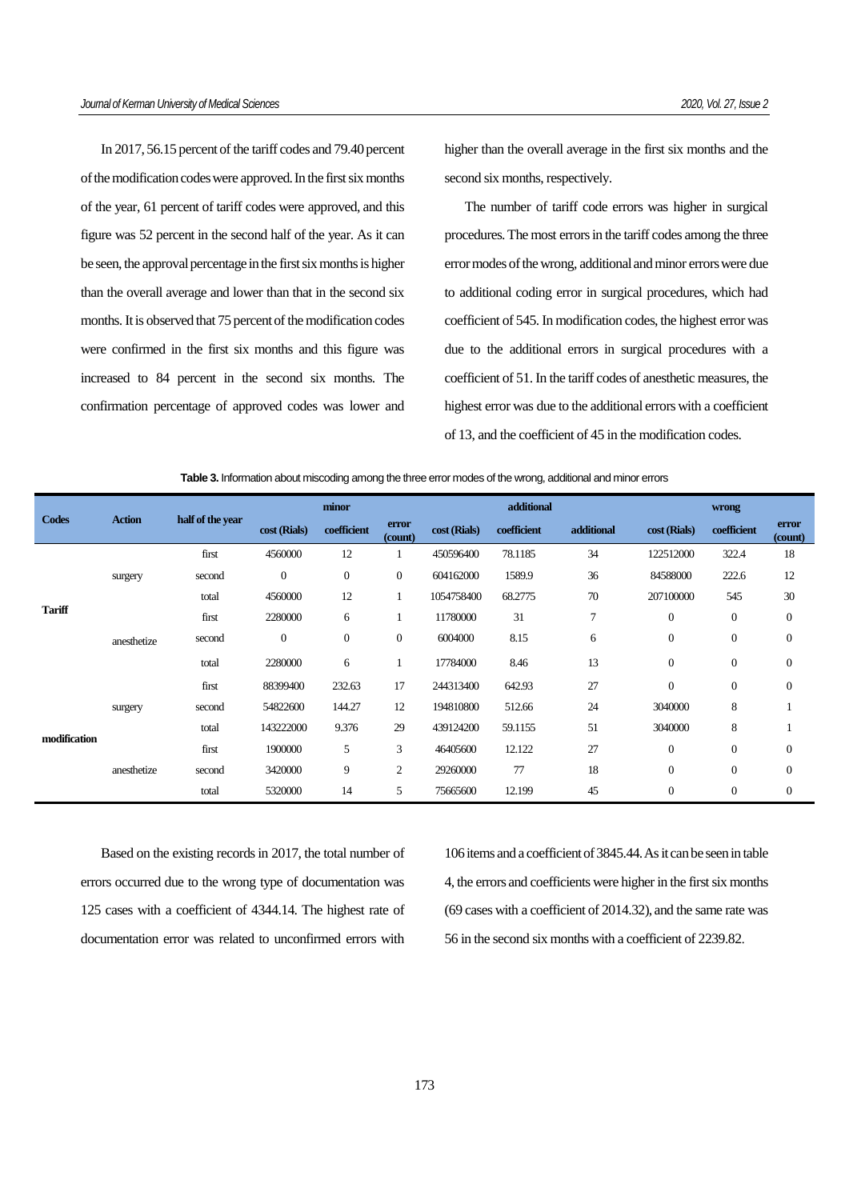In 2017, 56.15 percent of the tariff codes and 79.40 percent of the modification codes were approved. In the first six months of the year, 61 percent of tariff codes were approved, and this figure was 52 percent in the second half of the year. As it can be seen, the approval percentage in the first six months is higher than the overall average and lower than that in the second six months. It is observed that 75 percent of the modification codes were confirmed in the first six months and this figure was increased to 84 percent in the second six months. The confirmation percentage of approved codes was lower and

higher than the overall average in the first six months and the second six months, respectively.

The number of tariff code errors was higher in surgical procedures. The most errors in the tariff codes among the three error modes of the wrong, additional and minor errors were due to additional coding error in surgical procedures, which had coefficient of 545. In modification codes, the highest error was due to the additional errors in surgical procedures with a coefficient of 51. In the tariff codes of anesthetic measures, the highest error was due to the additional errors with a coefficient of 13, and the coefficient of 45 in the modification codes.

| Table 3. Information about miscoding among the three error modes of the wrong, additional and minor errors |               |                  |              |             |                  |              |             |            |                  |                  |                  |
|------------------------------------------------------------------------------------------------------------|---------------|------------------|--------------|-------------|------------------|--------------|-------------|------------|------------------|------------------|------------------|
| <b>Codes</b>                                                                                               | <b>Action</b> | half of the year | minor        |             |                  |              | additional  |            | wrong            |                  |                  |
|                                                                                                            |               |                  | cost (Rials) | coefficient | error<br>(count) | cost (Rials) | coefficient | additional | cost (Rials)     | coefficient      | error<br>(count) |
| Tariff                                                                                                     |               | first            | 4560000      | 12          |                  | 450596400    | 78.1185     | 34         | 122512000        | 322.4            | 18               |
|                                                                                                            | surgery       | second           | $\mathbf{0}$ | $\theta$    | $\overline{0}$   | 604162000    | 1589.9      | 36         | 84588000         | 222.6            | 12               |
|                                                                                                            |               | total            | 4560000      | 12          |                  | 1054758400   | 68.2775     | 70         | 207100000        | 545              | 30               |
|                                                                                                            | anesthetize   | first            | 2280000      | 6           | 1                | 11780000     | 31          | 7          | $\mathbf{0}$     | $\mathbf{0}$     | $\mathbf{0}$     |
|                                                                                                            |               | second           | $\mathbf{0}$ | $\theta$    | $\overline{0}$   | 6004000      | 8.15        | 6          | $\theta$         | $\mathbf{0}$     | $\mathbf{0}$     |
|                                                                                                            |               | total            | 2280000      | 6           | 1                | 17784000     | 8.46        | 13         | $\mathbf{0}$     | $\mathbf{0}$     | $\mathbf{0}$     |
| modification                                                                                               |               | first            | 88399400     | 232.63      | 17               | 244313400    | 642.93      | 27         | $\boldsymbol{0}$ | $\boldsymbol{0}$ | $\mathbf{0}$     |
|                                                                                                            | surgery       | second           | 54822600     | 144.27      | 12               | 194810800    | 512.66      | 24         | 3040000          | 8                |                  |
|                                                                                                            |               | total            | 143222000    | 9.376       | 29               | 439124200    | 59.1155     | 51         | 3040000          | 8                |                  |
|                                                                                                            | anesthetize   | first            | 1900000      | 5           | 3                | 46405600     | 12.122      | 27         | $\theta$         | $\mathbf{0}$     | $\mathbf{0}$     |
|                                                                                                            |               | second           | 3420000      | 9           | 2                | 29260000     | 77          | 18         | $\overline{0}$   | $\mathbf{0}$     | $\mathbf{0}$     |
|                                                                                                            |               | total            | 5320000      | 14          | 5                | 75665600     | 12.199      | 45         | $\overline{0}$   | $\mathbf{0}$     | $\theta$         |

Based on the existing records in 2017, the total number of errors occurred due to the wrong type of documentation was 125 cases with a coefficient of 4344.14. The highest rate of documentation error was related to unconfirmed errors with 106 items and a coefficient of 3845.44. As it can be seen in table 4, the errors and coefficients were higher in the first six months (69 cases with a coefficient of 2014.32), and the same rate was 56 in the second six months with a coefficient of 2239.82.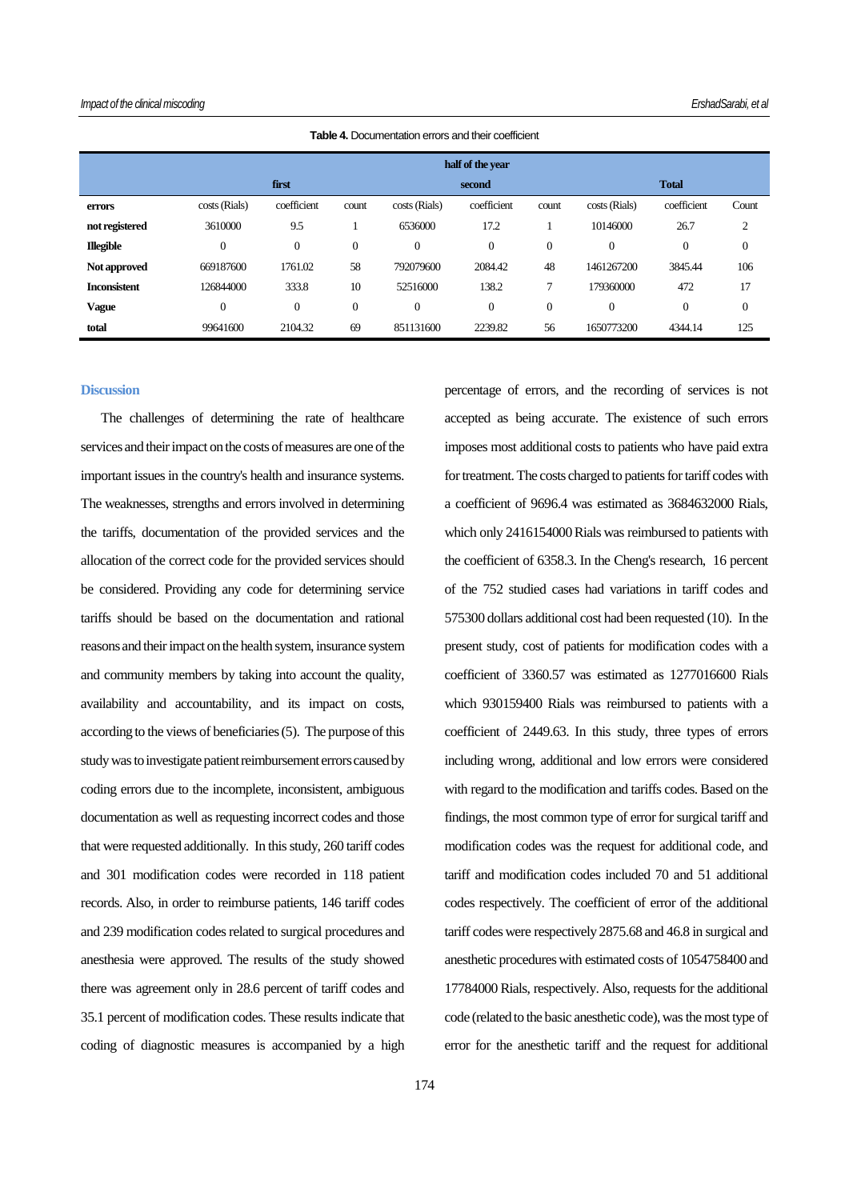|                     | half of the year |              |              |                  |              |                |                |                |                  |  |  |
|---------------------|------------------|--------------|--------------|------------------|--------------|----------------|----------------|----------------|------------------|--|--|
|                     |                  | first        |              |                  | second       |                | <b>Total</b>   |                |                  |  |  |
| errors              | costs (Rials)    | coefficient  | count        | costs (Rials)    | coefficient  | count          | costs (Rials)  | coefficient    | Count            |  |  |
| not registered      | 3610000          | 9.5          |              | 6536000          | 17.2         |                | 10146000       | 26.7           | 2                |  |  |
| <b>Illegible</b>    | $\theta$         | $\mathbf{0}$ | $\mathbf{0}$ | $\theta$         | $\theta$     | $\overline{0}$ | $\overline{0}$ | $\overline{0}$ | $\mathbf{0}$     |  |  |
| Not approved        | 669187600        | 1761.02      | 58           | 792079600        | 2084.42      | 48             | 1461267200     | 3845.44        | 106              |  |  |
| <b>Inconsistent</b> | 126844000        | 333.8        | 10           | 52516000         | 138.2        | 7              | 179360000      | 472            | 17               |  |  |
| <b>Vague</b>        | $\overline{0}$   | $\mathbf{0}$ | $\mathbf{0}$ | $\boldsymbol{0}$ | $\mathbf{0}$ | $\overline{0}$ | $\theta$       | $\overline{0}$ | $\boldsymbol{0}$ |  |  |
| total               | 99641600         | 2104.32      | 69           | 851131600        | 2239.82      | 56             | 1650773200     | 4344.14        | 125              |  |  |

**Table 4.** Documentation errors and their coefficient

#### **Discussion**

The challenges of determining the rate of healthcare services and their impact on the costs of measures are one of the important issues in the country's health and insurance systems. The weaknesses, strengths and errors involved in determining the tariffs, documentation of the provided services and the allocation of the correct code for the provided services should be considered. Providing any code for determining service tariffs should be based on the documentation and rational reasons and their impact on the health system, insurance system and community members by taking into account the quality, availability and accountability, and its impact on costs, according to the views of beneficiaries [\(5\)](#page-7-4). The purpose of this study was to investigate patient reimbursement errors caused by coding errors due to the incomplete, inconsistent, ambiguous documentation as well as requesting incorrect codes and those that were requested additionally. In this study, 260 tariff codes and 301 modification codes were recorded in 118 patient records. Also, in order to reimburse patients, 146 tariff codes and 239 modification codes related to surgical procedures and anesthesia were approved. The results of the study showed there was agreement only in 28.6 percent of tariff codes and 35.1 percent of modification codes. These results indicate that coding of diagnostic measures is accompanied by a high percentage of errors, and the recording of services is not accepted as being accurate. The existence of such errors imposes most additional costs to patients who have paid extra for treatment. The costs charged to patients for tariff codes with a coefficient of 9696.4 was estimated as 3684632000 Rials, which only 2416154000 Rials was reimbursed to patients with the coefficient of 6358.3. In the Cheng's research, 16 percent of the 752 studied cases had variations in tariff codes and 575300 dollars additional cost had been requested [\(10\)](#page-7-9). In the present study, cost of patients for modification codes with a coefficient of 3360.57 was estimated as 1277016600 Rials which 930159400 Rials was reimbursed to patients with a coefficient of 2449.63. In this study, three types of errors including wrong, additional and low errors were considered with regard to the modification and tariffs codes. Based on the findings, the most common type of error for surgical tariff and modification codes was the request for additional code, and tariff and modification codes included 70 and 51 additional codes respectively. The coefficient of error of the additional tariff codes were respectively 2875.68 and 46.8 in surgical and anesthetic procedures with estimated costs of 1054758400 and 17784000 Rials, respectively. Also, requests for the additional code (related to the basic anesthetic code), was the most type of error for the anesthetic tariff and the request for additional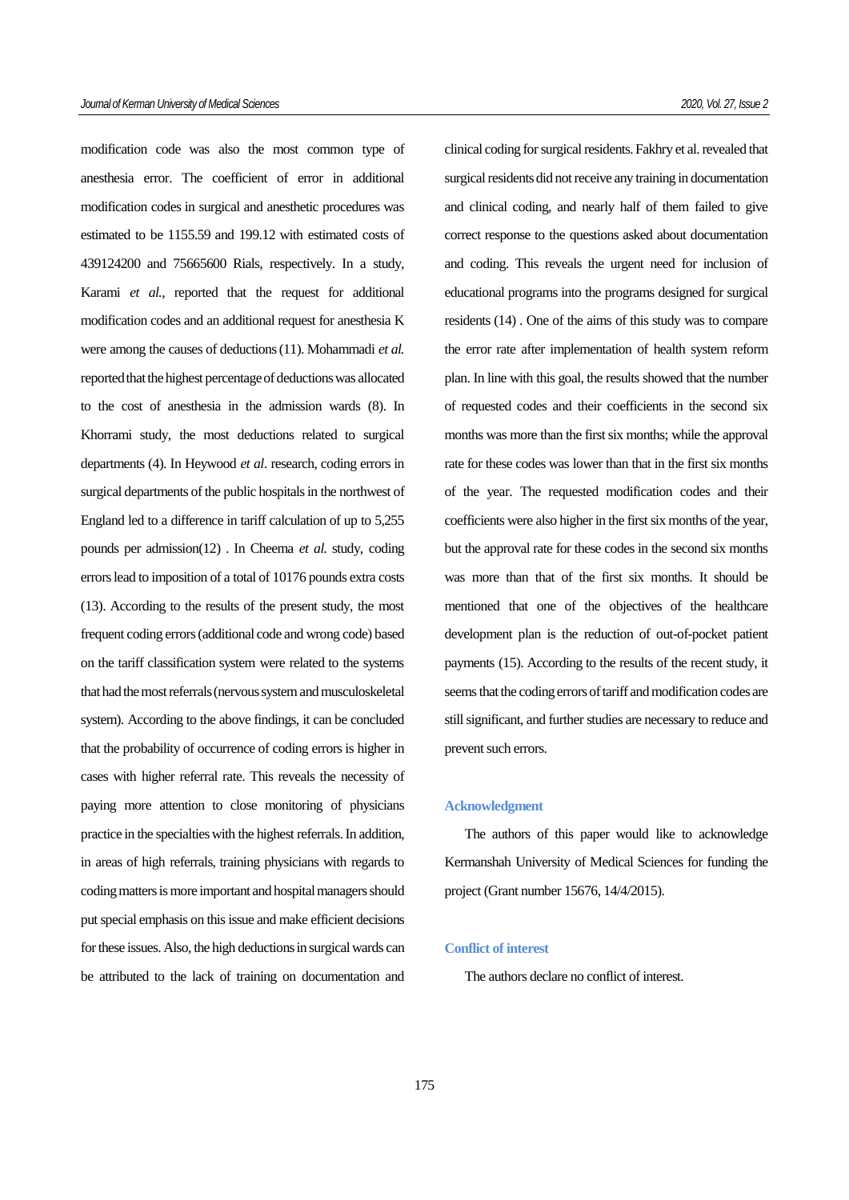modification code was also the most common type of anesthesia error. The coefficient of error in additional modification codes in surgical and anesthetic procedures was estimated to be 1155.59 and 199.12 with estimated costs of 439124200 and 75665600 Rials, respectively. In a study, Karami *et al.*, reported that the request for additional modification codes and an additional request for anesthesia K were among the causes of deductions[\(11\)](#page-7-10). Mohammadi *et al.* reported that the highest percentage of deductions was allocated to the cost of anesthesia in the admission wards [\(8\)](#page-7-7). In Khorrami study, the most deductions related to surgical departments [\(4\)](#page-7-3). In Heywood *et al*. research, coding errors in surgical departments of the public hospitals in the northwest of England led to a difference in tariff calculation of up to 5,255 pounds per admission[\(12\)](#page-7-11) . In Cheema *et al.* study, coding errors lead to imposition of a total of 10176 pounds extra costs [\(13\)](#page-7-12). According to the results of the present study, the most frequent coding errors (additional code and wrong code) based on the tariff classification system were related to the systems that had the most referrals (nervous system and musculoskeletal system). According to the above findings, it can be concluded that the probability of occurrence of coding errors is higher in cases with higher referral rate. This reveals the necessity of paying more attention to close monitoring of physicians practice in the specialties with the highest referrals. In addition, in areas of high referrals, training physicians with regards to coding matters is more important and hospital managers should put special emphasis on this issue and make efficient decisions for these issues. Also, the high deductions in surgical wards can be attributed to the lack of training on documentation and clinical coding for surgical residents. Fakhry et al. revealed that surgical residents did not receive any training in documentation and clinical coding, and nearly half of them failed to give correct response to the questions asked about documentation and coding. This reveals the urgent need for inclusion of educational programs into the programs designed for surgical residents [\(14\)](#page-7-13) . One of the aims of this study was to compare the error rate after implementation of health system reform plan. In line with this goal, the results showed that the number of requested codes and their coefficients in the second six months was more than the first six months; while the approval rate for these codes was lower than that in the first six months of the year. The requested modification codes and their coefficients were also higher in the first six months of the year, but the approval rate for these codes in the second six months was more than that of the first six months. It should be mentioned that one of the objectives of the healthcare development plan is the reduction of out-of-pocket patient payments [\(15\)](#page-7-14). According to the results of the recent study, it seems that the coding errors of tariff and modification codes are still significant, and further studies are necessary to reduce and prevent such errors.

#### **Acknowledgment**

The authors of this paper would like to acknowledge Kermanshah University of Medical Sciences for funding the project (Grant number 15676, 14/4/2015).

## **Conflict of interest**

The authors declare no conflict of interest.